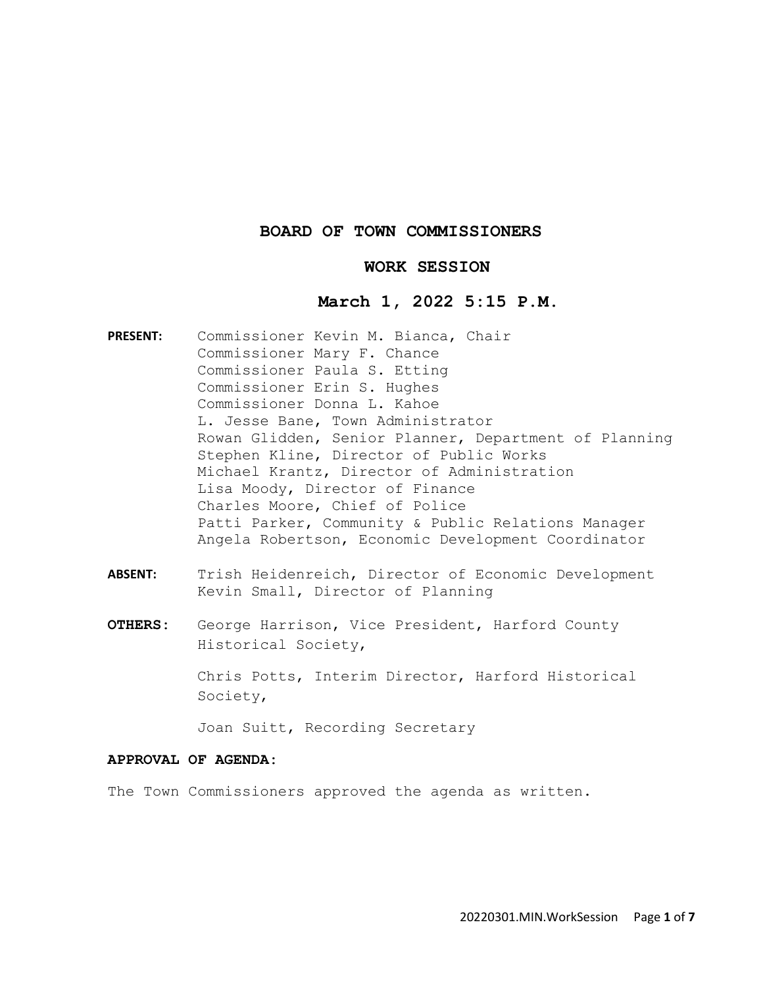## **BOARD OF TOWN COMMISSIONERS**

# **WORK SESSION**

# **March 1, 2022 5:15 P.M.**

- **PRESENT:** Commissioner Kevin M. Bianca, Chair Commissioner Mary F. Chance Commissioner Paula S. Etting Commissioner Erin S. Hughes Commissioner Donna L. Kahoe L. Jesse Bane, Town Administrator Rowan Glidden, Senior Planner, Department of Planning Stephen Kline, Director of Public Works Michael Krantz, Director of Administration Lisa Moody, Director of Finance Charles Moore, Chief of Police Patti Parker, Community & Public Relations Manager Angela Robertson, Economic Development Coordinator
- **ABSENT:** Trish Heidenreich, Director of Economic Development Kevin Small, Director of Planning
- **OTHERS:** George Harrison, Vice President, Harford County Historical Society,

 Chris Potts, Interim Director, Harford Historical Society,

Joan Suitt, Recording Secretary

## **APPROVAL OF AGENDA:**

The Town Commissioners approved the agenda as written.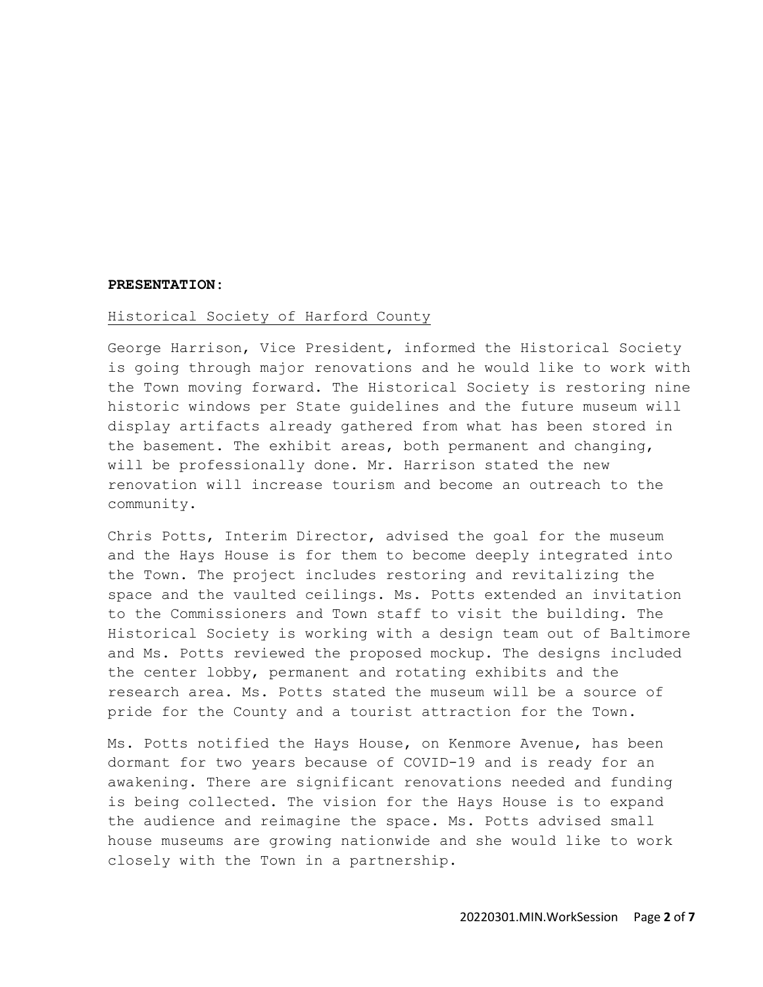#### **PRESENTATION:**

# Historical Society of Harford County

George Harrison, Vice President, informed the Historical Society is going through major renovations and he would like to work with the Town moving forward. The Historical Society is restoring nine historic windows per State guidelines and the future museum will display artifacts already gathered from what has been stored in the basement. The exhibit areas, both permanent and changing, will be professionally done. Mr. Harrison stated the new renovation will increase tourism and become an outreach to the community.

Chris Potts, Interim Director, advised the goal for the museum and the Hays House is for them to become deeply integrated into the Town. The project includes restoring and revitalizing the space and the vaulted ceilings. Ms. Potts extended an invitation to the Commissioners and Town staff to visit the building. The Historical Society is working with a design team out of Baltimore and Ms. Potts reviewed the proposed mockup. The designs included the center lobby, permanent and rotating exhibits and the research area. Ms. Potts stated the museum will be a source of pride for the County and a tourist attraction for the Town.

Ms. Potts notified the Hays House, on Kenmore Avenue, has been dormant for two years because of COVID-19 and is ready for an awakening. There are significant renovations needed and funding is being collected. The vision for the Hays House is to expand the audience and reimagine the space. Ms. Potts advised small house museums are growing nationwide and she would like to work closely with the Town in a partnership.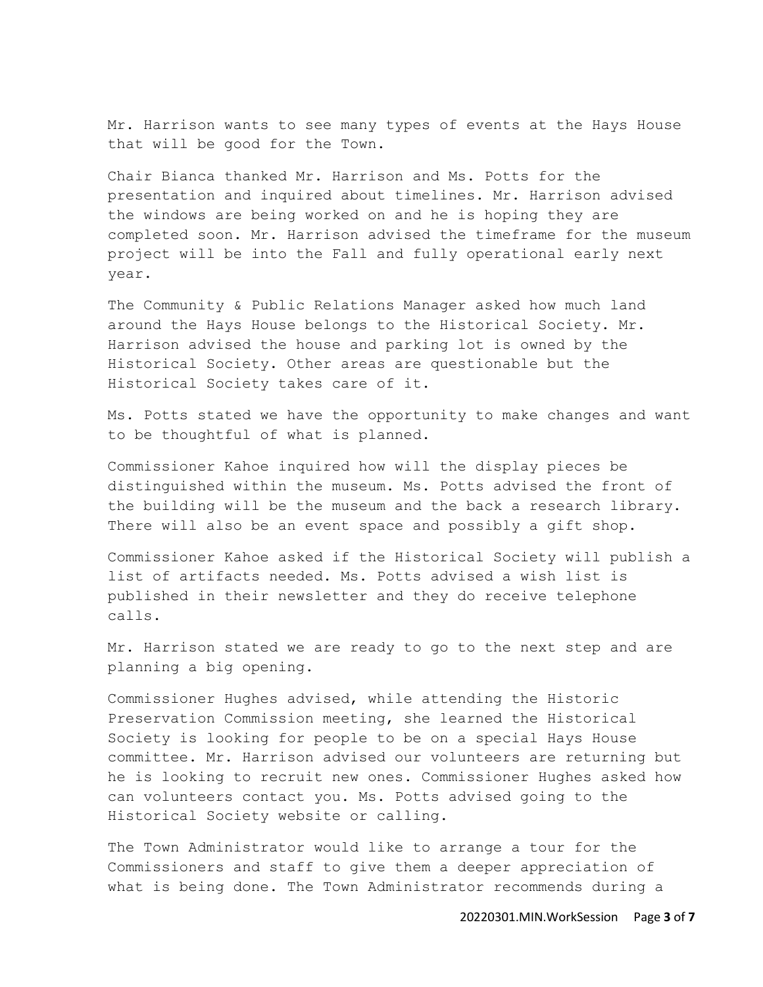Mr. Harrison wants to see many types of events at the Hays House that will be good for the Town.

Chair Bianca thanked Mr. Harrison and Ms. Potts for the presentation and inquired about timelines. Mr. Harrison advised the windows are being worked on and he is hoping they are completed soon. Mr. Harrison advised the timeframe for the museum project will be into the Fall and fully operational early next year.

The Community & Public Relations Manager asked how much land around the Hays House belongs to the Historical Society. Mr. Harrison advised the house and parking lot is owned by the Historical Society. Other areas are questionable but the Historical Society takes care of it.

Ms. Potts stated we have the opportunity to make changes and want to be thoughtful of what is planned.

Commissioner Kahoe inquired how will the display pieces be distinguished within the museum. Ms. Potts advised the front of the building will be the museum and the back a research library. There will also be an event space and possibly a gift shop.

Commissioner Kahoe asked if the Historical Society will publish a list of artifacts needed. Ms. Potts advised a wish list is published in their newsletter and they do receive telephone calls.

Mr. Harrison stated we are ready to go to the next step and are planning a big opening.

Commissioner Hughes advised, while attending the Historic Preservation Commission meeting, she learned the Historical Society is looking for people to be on a special Hays House committee. Mr. Harrison advised our volunteers are returning but he is looking to recruit new ones. Commissioner Hughes asked how can volunteers contact you. Ms. Potts advised going to the Historical Society website or calling.

The Town Administrator would like to arrange a tour for the Commissioners and staff to give them a deeper appreciation of what is being done. The Town Administrator recommends during a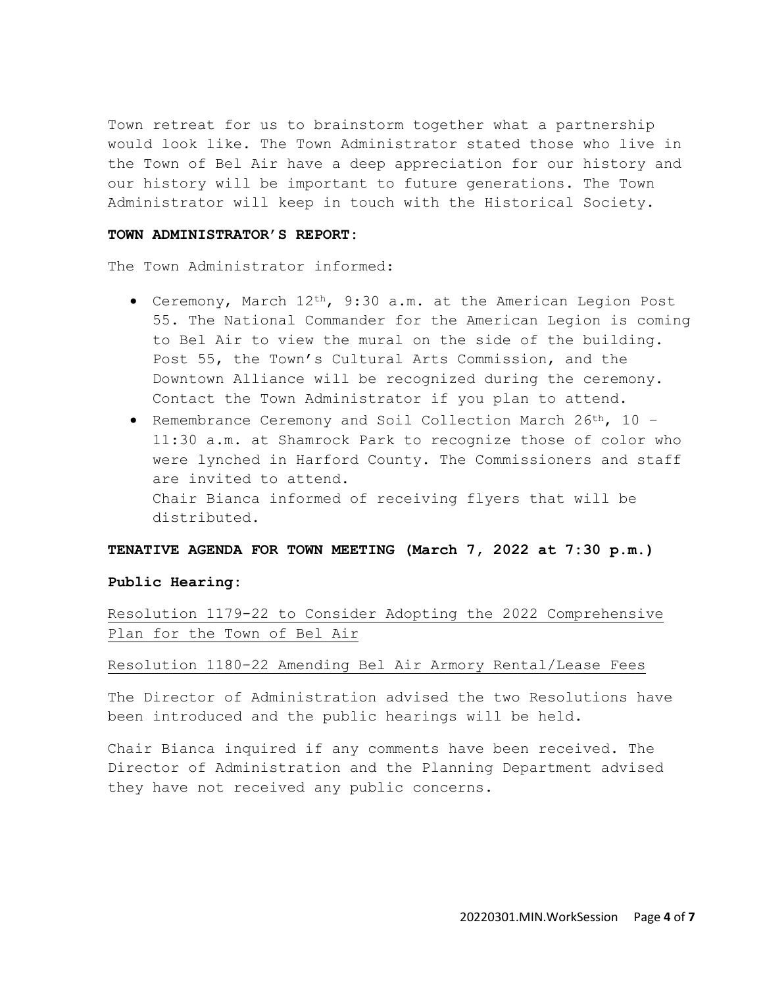Town retreat for us to brainstorm together what a partnership would look like. The Town Administrator stated those who live in the Town of Bel Air have a deep appreciation for our history and our history will be important to future generations. The Town Administrator will keep in touch with the Historical Society.

## **TOWN ADMINISTRATOR'S REPORT:**

The Town Administrator informed:

- Ceremony, March 12th, 9:30 a.m. at the American Legion Post 55. The National Commander for the American Legion is coming to Bel Air to view the mural on the side of the building. Post 55, the Town's Cultural Arts Commission, and the Downtown Alliance will be recognized during the ceremony. Contact the Town Administrator if you plan to attend.
- Remembrance Ceremony and Soil Collection March 26th, 10 11:30 a.m. at Shamrock Park to recognize those of color who were lynched in Harford County. The Commissioners and staff are invited to attend. Chair Bianca informed of receiving flyers that will be distributed.

#### **TENATIVE AGENDA FOR TOWN MEETING (March 7, 2022 at 7:30 p.m.)**

#### **Public Hearing:**

Resolution 1179-22 to Consider Adopting the 2022 Comprehensive Plan for the Town of Bel Air

## Resolution 1180-22 Amending Bel Air Armory Rental/Lease Fees

The Director of Administration advised the two Resolutions have been introduced and the public hearings will be held.

Chair Bianca inquired if any comments have been received. The Director of Administration and the Planning Department advised they have not received any public concerns.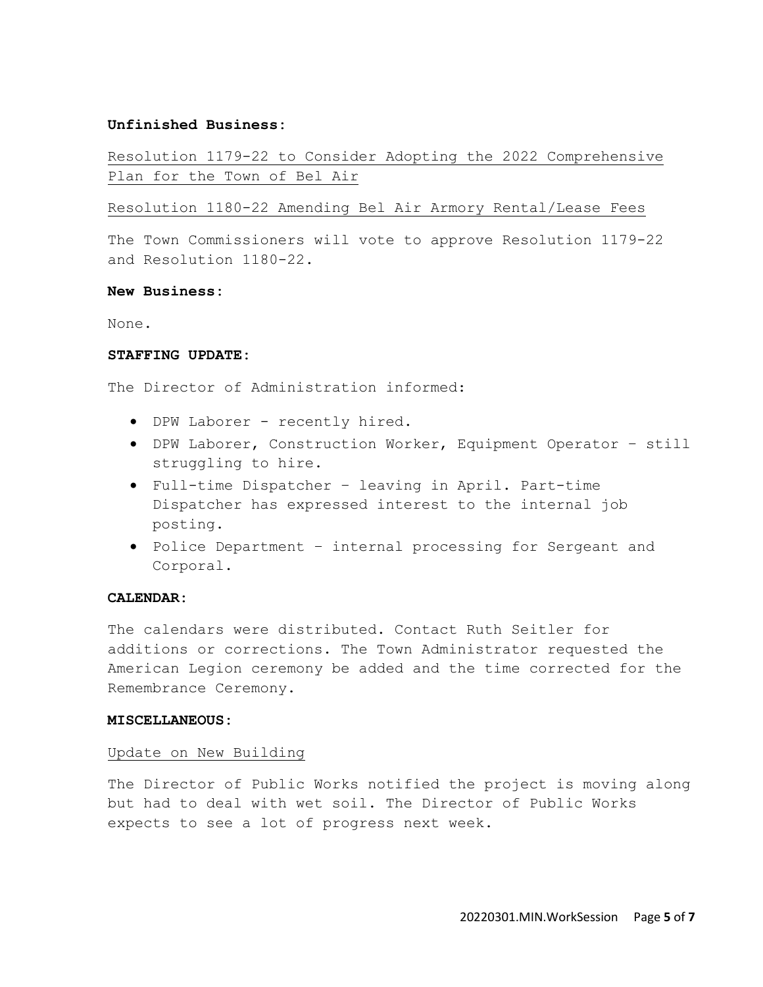## **Unfinished Business:**

Resolution 1179-22 to Consider Adopting the 2022 Comprehensive Plan for the Town of Bel Air

Resolution 1180-22 Amending Bel Air Armory Rental/Lease Fees

The Town Commissioners will vote to approve Resolution 1179-22 and Resolution 1180-22.

#### **New Business:**

None.

#### **STAFFING UPDATE:**

The Director of Administration informed:

- DPW Laborer recently hired.
- DPW Laborer, Construction Worker, Equipment Operator still struggling to hire.
- Full-time Dispatcher leaving in April. Part-time Dispatcher has expressed interest to the internal job posting.
- Police Department internal processing for Sergeant and Corporal.

# **CALENDAR:**

The calendars were distributed. Contact Ruth Seitler for additions or corrections. The Town Administrator requested the American Legion ceremony be added and the time corrected for the Remembrance Ceremony.

#### **MISCELLANEOUS:**

## Update on New Building

The Director of Public Works notified the project is moving along but had to deal with wet soil. The Director of Public Works expects to see a lot of progress next week.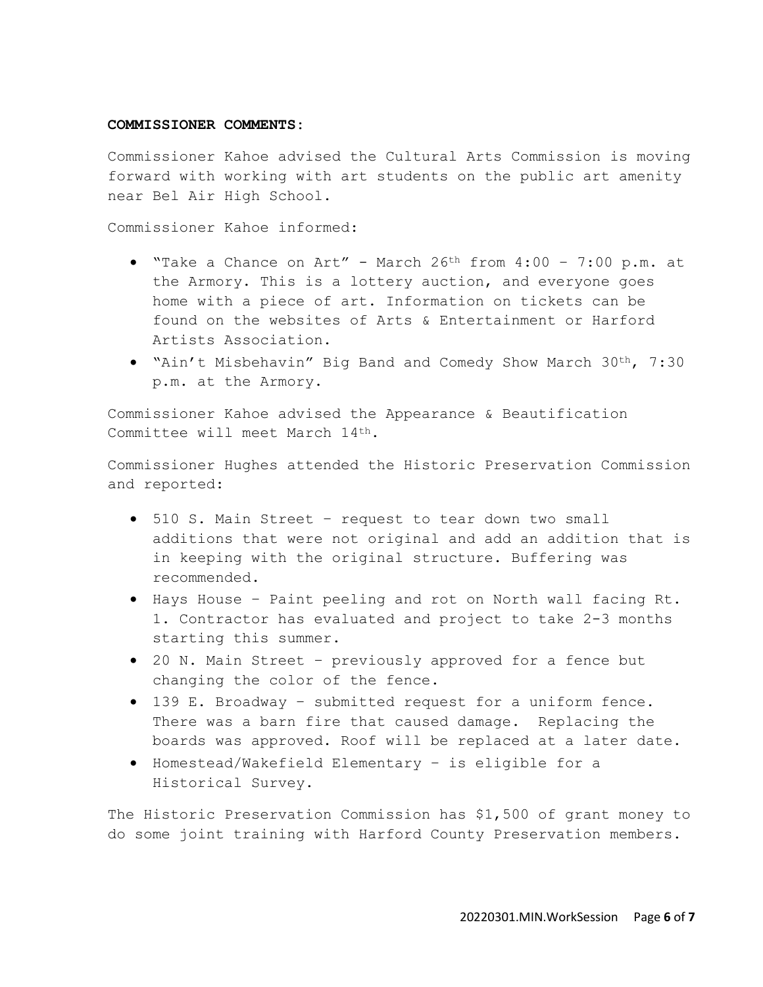#### **COMMISSIONER COMMENTS:**

Commissioner Kahoe advised the Cultural Arts Commission is moving forward with working with art students on the public art amenity near Bel Air High School.

Commissioner Kahoe informed:

- "Take a Chance on Art" March  $26^{th}$  from  $4:00$  7:00 p.m. at the Armory. This is a lottery auction, and everyone goes home with a piece of art. Information on tickets can be found on the websites of Arts & Entertainment or Harford Artists Association.
- "Ain't Misbehavin" Big Band and Comedy Show March 30th, 7:30 p.m. at the Armory.

Commissioner Kahoe advised the Appearance & Beautification Committee will meet March 14th.

Commissioner Hughes attended the Historic Preservation Commission and reported:

- 510 S. Main Street request to tear down two small additions that were not original and add an addition that is in keeping with the original structure. Buffering was recommended.
- Hays House Paint peeling and rot on North wall facing Rt. 1. Contractor has evaluated and project to take 2-3 months starting this summer.
- 20 N. Main Street previously approved for a fence but changing the color of the fence.
- 139 E. Broadway submitted request for a uniform fence. There was a barn fire that caused damage. Replacing the boards was approved. Roof will be replaced at a later date.
- Homestead/Wakefield Elementary is eligible for a Historical Survey.

The Historic Preservation Commission has \$1,500 of grant money to do some joint training with Harford County Preservation members.